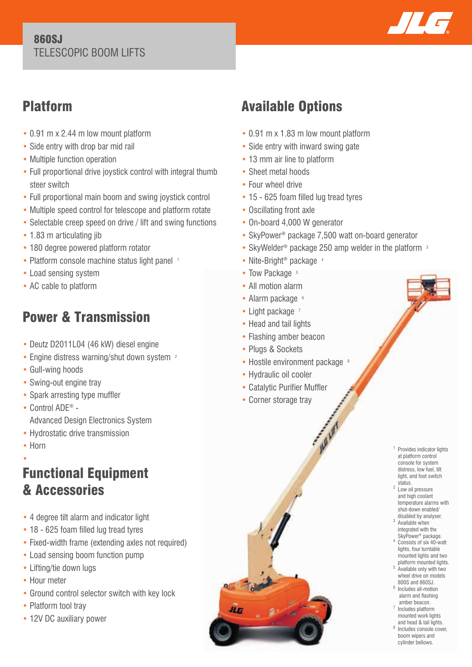#### 860SJ TELESCOPIC BOOM LIFTS



## Platform

- 0.91 m x 2.44 m low mount platform
- Side entry with drop bar mid rail
- Multiple function operation
- Full proportional drive joystick control with integral thumb steer switch
- Full proportional main boom and swing joystick control
- Multiple speed control for telescope and platform rotate
- Selectable creep speed on drive / lift and swing functions
- 1.83 m articulating jib
- 180 degree powered platform rotator
- Platform console machine status light panel 1
- Load sensing system
- AC cable to platform

# Power & Transmission

- Deutz D2011L04 (46 kW) diesel engine
- Engine distress warning/shut down system <sup>2</sup>
- Gull-wing hoods
- Swing-out engine tray
- Spark arresting type muffler
- Control ADE® Advanced Design Electronics System
- Hydrostatic drive transmission
- Horn

### • Functional Equipment & Accessories

- 4 degree tilt alarm and indicator light
- 18 625 foam filled lug tread tyres
- Fixed-width frame (extending axles not required)
- Load sensing boom function pump
- Lifting/tie down lugs
- Hour meter
- Ground control selector switch with key lock
- Platform tool tray
- 12V DC auxiliary power

# Available Options

- 0.91 m x 1.83 m low mount platform
- Side entry with inward swing gate
- 13 mm air line to platform
- Sheet metal hoods
- Four wheel drive
- 15 625 foam filled lug tread tyres
- Oscillating front axle
- On-board 4,000 W generator
- SkyPower® package 7,500 watt on-board generator
- SkyWelder<sup>®</sup> package 250 amp welder in the platform <sup>3</sup>
- Nite-Bright<sup>®</sup> package 4
- Tow Package 5
- All motion alarm
- Alarm package 6
- Light package 7
- Head and tail lights
- Flashing amber beacon
- Plugs & Sockets
- $\bullet$  Hostile environment package  $^8$
- Hydraulic oil cooler
- Catalytic Purifier Muffler
- Corner storage tray



- status.<br><sup>2</sup> Low oil pressure and high coolant temperature alarms with shut-down enabled/
- disabled by analyser. 3 Available when integrated with the SkyPower® package.
- 4 Consists of six 40-watt lights, four turntable mounted lights and two platform mounted lights. Available only with two
- wheel drive on models 800S and 860SJ. 6 Includes all-motion alarm and flashing
- amber beacon. 7 Includes platform mounted work lights
- and head & tail lights. 8 Includes console cover, boom wipers and cylinder bellows.